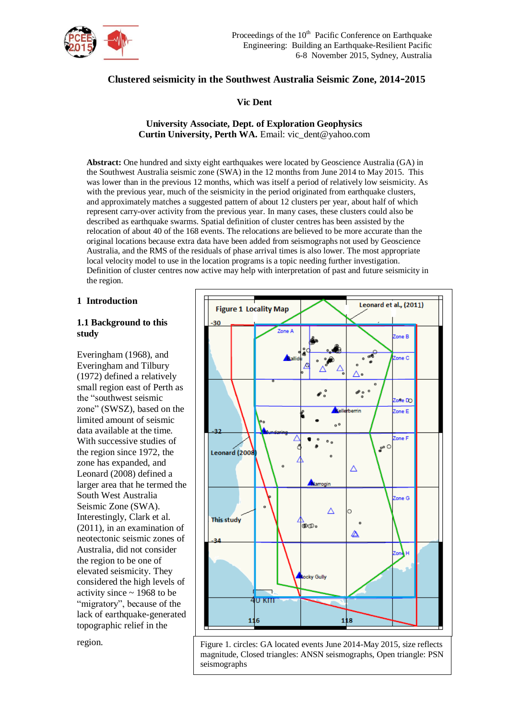

# **Clustered seismicity in the Southwest Australia Seismic Zone, 2014-2015**

**Vic Dent**

**University Associate, Dept. of Exploration Geophysics Curtin University, Perth WA.** Email: vic\_dent@yahoo.com

**Abstract:** One hundred and sixty eight earthquakes were located by Geoscience Australia (GA) in the Southwest Australia seismic zone (SWA) in the 12 months from June 2014 to May 2015. This was lower than in the previous 12 months, which was itself a period of relatively low seismicity. As with the previous year, much of the seismicity in the period originated from earthquake clusters, and approximately matches a suggested pattern of about 12 clusters per year, about half of which represent carry-over activity from the previous year. In many cases, these clusters could also be described as earthquake swarms. Spatial definition of cluster centres has been assisted by the relocation of about 40 of the 168 events. The relocations are believed to be more accurate than the original locations because extra data have been added from seismographs not used by Geoscience Australia, and the RMS of the residuals of phase arrival times is also lower. The most appropriate local velocity model to use in the location programs is a topic needing further investigation. Definition of cluster centres now active may help with interpretation of past and future seismicity in the region.

#### **1 Introduction**

#### **1.1 Background to this study**

Everingham (1968), and Everingham and Tilbury (1972) defined a relatively small region east of Perth as the "southwest seismic zone" (SWSZ), based on the limited amount of seismic data available at the time. With successive studies of the region since 1972, the zone has expanded, and Leonard (2008) defined a larger area that he termed the South West Australia Seismic Zone (SWA). Interestingly, Clark et al. (2011), in an examination of neotectonic seismic zones of Australia, did not consider the region to be one of elevated seismicity. They considered the high levels of activity since  $\sim$  1968 to be "migratory", because of the lack of earthquake-generated topographic relief in the

region.



Figure 1. circles: GA located events June 2014-May 2015, size reflects magnitude, Closed triangles: ANSN seismographs, Open triangle: PSN seismographs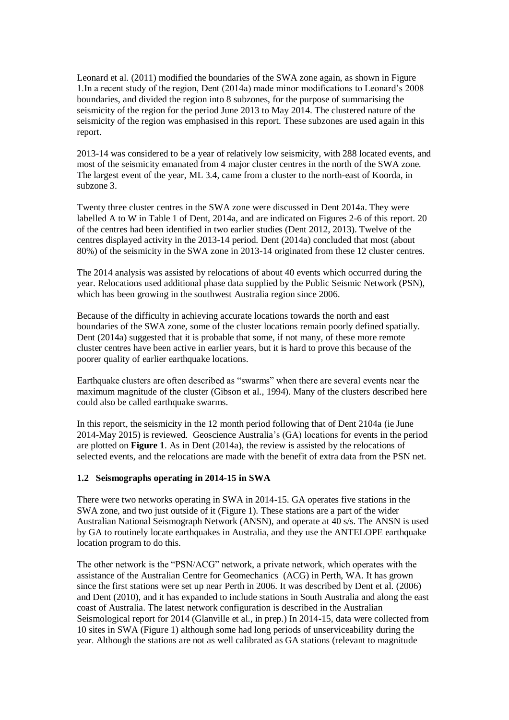Leonard et al. (2011) modified the boundaries of the SWA zone again, as shown in Figure 1.In a recent study of the region, Dent (2014a) made minor modifications to Leonard's 2008 boundaries, and divided the region into 8 subzones, for the purpose of summarising the seismicity of the region for the period June 2013 to May 2014. The clustered nature of the seismicity of the region was emphasised in this report. These subzones are used again in this report.

2013-14 was considered to be a year of relatively low seismicity, with 288 located events, and most of the seismicity emanated from 4 major cluster centres in the north of the SWA zone. The largest event of the year, ML 3.4, came from a cluster to the north-east of Koorda, in subzone 3.

Twenty three cluster centres in the SWA zone were discussed in Dent 2014a. They were labelled A to W in Table 1 of Dent, 2014a, and are indicated on Figures 2-6 of this report. 20 of the centres had been identified in two earlier studies (Dent 2012, 2013). Twelve of the centres displayed activity in the 2013-14 period. Dent (2014a) concluded that most (about 80%) of the seismicity in the SWA zone in 2013-14 originated from these 12 cluster centres.

The 2014 analysis was assisted by relocations of about 40 events which occurred during the year. Relocations used additional phase data supplied by the Public Seismic Network (PSN), which has been growing in the southwest Australia region since 2006.

Because of the difficulty in achieving accurate locations towards the north and east boundaries of the SWA zone, some of the cluster locations remain poorly defined spatially. Dent (2014a) suggested that it is probable that some, if not many, of these more remote cluster centres have been active in earlier years, but it is hard to prove this because of the poorer quality of earlier earthquake locations.

Earthquake clusters are often described as "swarms" when there are several events near the maximum magnitude of the cluster (Gibson et al., 1994). Many of the clusters described here could also be called earthquake swarms.

In this report, the seismicity in the 12 month period following that of Dent 2104a (ie June 2014-May 2015) is reviewed. Geoscience Australia's (GA) locations for events in the period are plotted on **Figure 1**. As in Dent (2014a), the review is assisted by the relocations of selected events, and the relocations are made with the benefit of extra data from the PSN net.

#### **1.2 Seismographs operating in 2014-15 in SWA**

There were two networks operating in SWA in 2014-15. GA operates five stations in the SWA zone, and two just outside of it (Figure 1). These stations are a part of the wider Australian National Seismograph Network (ANSN), and operate at 40 s/s. The ANSN is used by GA to routinely locate earthquakes in Australia, and they use the ANTELOPE earthquake location program to do this.

The other network is the "PSN/ACG" network, a private network, which operates with the assistance of the Australian Centre for Geomechanics (ACG) in Perth, WA. It has grown since the first stations were set up near Perth in 2006. It was described by Dent et al. (2006) and Dent (2010), and it has expanded to include stations in South Australia and along the east coast of Australia. The latest network configuration is described in the Australian Seismological report for 2014 (Glanville et al., in prep.) In 2014-15, data were collected from 10 sites in SWA (Figure 1) although some had long periods of unserviceability during the year. Although the stations are not as well calibrated as GA stations (relevant to magnitude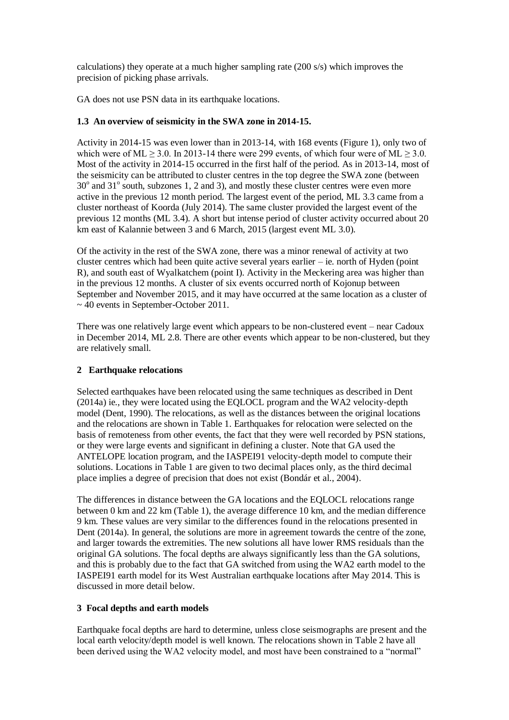calculations) they operate at a much higher sampling rate (200 s/s) which improves the precision of picking phase arrivals.

GA does not use PSN data in its earthquake locations.

## **1.3 An overview of seismicity in the SWA zone in 2014-15.**

Activity in 2014-15 was even lower than in 2013-14, with 168 events (Figure 1), only two of which were of ML  $> 3.0$ . In 2013-14 there were 299 events, of which four were of ML  $> 3.0$ . Most of the activity in 2014-15 occurred in the first half of the period. As in 2013-14, most of the seismicity can be attributed to cluster centres in the top degree the SWA zone (between  $30^{\circ}$  and  $31^{\circ}$  south, subzones 1, 2 and 3), and mostly these cluster centres were even more active in the previous 12 month period. The largest event of the period, ML 3.3 came from a cluster northeast of Koorda (July 2014). The same cluster provided the largest event of the previous 12 months (ML 3.4). A short but intense period of cluster activity occurred about 20 km east of Kalannie between 3 and 6 March, 2015 (largest event ML 3.0).

Of the activity in the rest of the SWA zone, there was a minor renewal of activity at two cluster centres which had been quite active several years earlier – ie. north of Hyden (point R), and south east of Wyalkatchem (point I). Activity in the Meckering area was higher than in the previous 12 months. A cluster of six events occurred north of Kojonup between September and November 2015, and it may have occurred at the same location as a cluster of  $\sim$  40 events in September-October 2011.

There was one relatively large event which appears to be non-clustered event – near Cadoux in December 2014, ML 2.8. There are other events which appear to be non-clustered, but they are relatively small.

## **2 Earthquake relocations**

Selected earthquakes have been relocated using the same techniques as described in Dent (2014a) ie., they were located using the EQLOCL program and the WA2 velocity-depth model (Dent, 1990). The relocations, as well as the distances between the original locations and the relocations are shown in Table 1. Earthquakes for relocation were selected on the basis of remoteness from other events, the fact that they were well recorded by PSN stations, or they were large events and significant in defining a cluster. Note that GA used the ANTELOPE location program, and the IASPEI91 velocity-depth model to compute their solutions. Locations in Table 1 are given to two decimal places only, as the third decimal place implies a degree of precision that does not exist (Bondár et al., 2004).

The differences in distance between the GA locations and the EQLOCL relocations range between 0 km and 22 km (Table 1), the average difference 10 km, and the median difference 9 km. These values are very similar to the differences found in the relocations presented in Dent (2014a). In general, the solutions are more in agreement towards the centre of the zone, and larger towards the extremities. The new solutions all have lower RMS residuals than the original GA solutions. The focal depths are always significantly less than the GA solutions, and this is probably due to the fact that GA switched from using the WA2 earth model to the IASPEI91 earth model for its West Australian earthquake locations after May 2014. This is discussed in more detail below.

## **3 Focal depths and earth models**

Earthquake focal depths are hard to determine, unless close seismographs are present and the local earth velocity/depth model is well known. The relocations shown in Table 2 have all been derived using the WA2 velocity model, and most have been constrained to a "normal"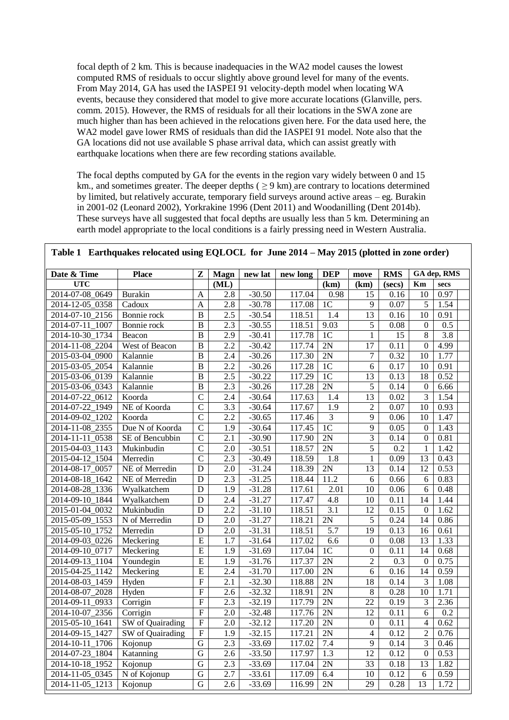focal depth of 2 km. This is because inadequacies in the WA2 model causes the lowest computed RMS of residuals to occur slightly above ground level for many of the events. From May 2014, GA has used the IASPEI 91 velocity-depth model when locating WA events, because they considered that model to give more accurate locations (Glanville, pers. comm. 2015). However, the RMS of residuals for all their locations in the SWA zone are much higher than has been achieved in the relocations given here. For the data used here, the WA2 model gave lower RMS of residuals than did the IASPEI 91 model. Note also that the GA locations did not use available S phase arrival data, which can assist greatly with earthquake locations when there are few recording stations available.

The focal depths computed by GA for the events in the region vary widely between 0 and 15 km., and sometimes greater. The deeper depths ( $\geq$  9 km) are contrary to locations determined by limited, but relatively accurate, temporary field surveys around active areas – eg. Burakin in 2001-02 (Leonard 2002), Yorkrakine 1996 (Dent 2011) and Woodanilling (Dent 2014b). These surveys have all suggested that focal depths are usually less than 5 km. Determining an earth model appropriate to the local conditions is a fairly pressing need in Western Australia.

| Date & Time             | <b>Place</b>                   | Z                       | <b>Magn</b>      | new lat  | new long | <b>DEP</b>       | move                     | <b>RMS</b>        |                  | GA dep, RMS       |
|-------------------------|--------------------------------|-------------------------|------------------|----------|----------|------------------|--------------------------|-------------------|------------------|-------------------|
| <b>UTC</b>              |                                |                         | (ML)             |          |          | (km)             | (km)                     | (secs)            | Km               | secs              |
| 2014-07-08_0649         | Burakin                        | A                       | 2.8              | $-30.50$ | 117.04   | 0.98             | 15                       | 0.16              | $\overline{10}$  | 0.97              |
| 2014-12-05 0358         | Cadoux                         | A                       | 2.8              | $-30.78$ | 117.08   | 1 <sup>C</sup>   | $\overline{9}$           | 0.07              | 5                | 1.54              |
| 2014-07-10_2156         | Bonnie rock                    | B                       | $\overline{2.5}$ | $-30.54$ | 118.51   | 1.4              | $\overline{13}$          | 0.16              | $\overline{10}$  | 0.91              |
| 2014-07-11 1007         | Bonnie rock                    | $\overline{B}$          | $\overline{2.3}$ | $-30.55$ | 118.51   | 9.03             | 5                        | $\overline{0.08}$ | $\overline{0}$   | $\overline{0.5}$  |
| 2014-10-30 1734         | Beacon                         | B                       | 2.9              | $-30.41$ | 117.78   | $\overline{1C}$  | $\mathbf{1}$             | $\overline{15}$   | $\overline{8}$   | 3.8               |
| 2014-11-08 2204         | West of Beacon                 | $\overline{B}$          | $\overline{2.2}$ | $-30.42$ | 117.74   | 2N               | $\overline{17}$          | $\overline{0.11}$ | $\overline{0}$   | 4.99              |
| 2015-03-04 0900         | Kalannie                       | $\overline{B}$          | 2.4              | $-30.26$ | 117.30   | 2N               | $\overline{7}$           | 0.32              | $\overline{10}$  | 1.77              |
| 2015-03-05 2054         | Kalannie                       | B                       | 2.2              | $-30.26$ | 117.28   | 1 <sup>C</sup>   | 6                        | 0.17              | 10               | 0.91              |
| 2015-03-06 0139         | Kalannie                       | $\overline{B}$          | 2.5              | $-30.22$ | 117.29   | 1 <sub>C</sub>   | 13                       | 0.13              | 18               | 0.52              |
| 2015-03-06 0343         | Kalannie                       | B                       | 2.3              | $-30.26$ | 117.28   | 2N               | 5                        | 0.14              | $\boldsymbol{0}$ | 6.66              |
| 2014-07-22_0612         | Koorda                         | $\overline{C}$          | 2.4              | $-30.64$ | 117.63   | 1.4              | $\overline{13}$          | 0.02              | $\overline{3}$   | 1.54              |
| 2014-07-22 1949         | NE of Koorda                   | $\overline{C}$          | 3.3              | $-30.64$ | 117.67   | 1.9              | $\overline{2}$           | 0.07              | 10               | 0.93              |
| 2014-09-02 1202         | Koorda                         | $\overline{C}$          | $\overline{2.2}$ | $-30.65$ | 117.46   | $\overline{3}$   | 9                        | 0.06              | 10               | 1.47              |
| 2014-11-08_2355         | Due N of Koorda                | $\overline{C}$          | $\overline{1.9}$ | $-30.64$ | 117.45   | 1 <sup>C</sup>   | $\overline{9}$           | 0.05              | $\overline{0}$   | 1.43              |
| 2014-11-11 0538         | SE of Bencubbin                | $\overline{C}$          | 2.1              | $-30.90$ | 117.90   | 2N               | 3                        | 0.14              | $\mathbf{0}$     | 0.81              |
| 2015-04-03 1143         | Mukinbudin                     | $\overline{C}$          | 2.0              | $-30.51$ | 118.57   | 2N               | $\overline{5}$           | 0.2               | $\mathbf{1}$     | 1.42              |
| 2015-04-12 1504         | Merredin                       | $\overline{C}$          | 2.3              | $-30.49$ | 118.59   | 1.8              | $\mathbf{1}$             | 0.09              | 13               | 0.43              |
| 2014-08-17 0057         | NE of Merredin                 | D                       | 2.0              | $-31.24$ | 118.39   | 2N               | $\overline{13}$          | 0.14              | $\overline{12}$  | 0.53              |
| 2014-08-18<br>1642      | NE of Merredin                 | D                       | $\overline{2.3}$ | $-31.25$ | 118.44   | 11.2             | 6                        | 0.66              | $\overline{6}$   | 0.83              |
| 2014-08-28_1336         | Wyalkatchem                    | D                       | 1.9              | $-31.28$ | 117.61   | 2.01             | 10                       | 0.06              | 6                | 0.48              |
| 2014-09-10 1844         | Wyalkatchem                    | D                       | 2.4              | $-31.27$ | 117.47   | 4.8              | 10                       | 0.11              | 14               | 1.44              |
| 2015-01-04 0032         | Mukinbudin                     | D                       | 2.2              | $-31.10$ | 118.51   | 3.1              | 12                       | 0.15              | $\mathbf{0}$     | 1.62              |
| 2015-05-09 1553         | N of Merredin                  | D                       | 2.0              | $-31.27$ | 118.21   | 2N               | 5                        | 0.24              | 14               | 0.86              |
| 2015-05-10 1752         | Merredin                       | D                       | 2.0              | $-31.31$ | 118.51   | 5.7              | $\overline{19}$          | 0.13              | 16               | 0.61              |
| 2014-09-03 0226         | Meckering                      | $\overline{E}$          | $\overline{1.7}$ | $-31.64$ | 117.02   | 6.6              | $\boldsymbol{0}$         | $\overline{0.08}$ | $\overline{13}$  | 1.33              |
| 2014-09-10 0717         | Meckering                      | $\overline{E}$          | $\overline{1.9}$ | $-31.69$ | 117.04   | 1 <sup>C</sup>   | $\Omega$                 | 0.11              | $\overline{14}$  | 0.68              |
| 2014-09-13_1104         | Youndegin                      | $\overline{E}$          | $\overline{1.9}$ | $-31.76$ | 117.37   | 2N               | $\overline{2}$           | 0.3               | $\overline{0}$   | 0.75              |
| 2015-04-25 1142         | Meckering                      | $\overline{E}$          | 2.4              | $-31.70$ | 117.00   | 2N               | 6                        | 0.16              | 14               | 0.59              |
| 2014-08-03 1459         | Hyden                          | $\overline{F}$          | $\overline{2.1}$ | $-32.30$ | 118.88   | 2N               | $\overline{18}$          | 0.14              | $\overline{3}$   | $\overline{1.08}$ |
| 2014-08-07 2028         | Hyden                          | $\overline{F}$          | $\overline{2.6}$ | $-32.32$ | 118.91   | 2N               | 8                        | 0.28              | $\overline{10}$  | 1.71              |
| 2014-09-11 0933         | Corrigin                       | $\overline{F}$          | $\overline{2.3}$ | $-32.19$ | 117.79   | 2N               | $\overline{22}$          | $0.\overline{19}$ | 3                | 2.36              |
| 2014-10-07 2356         | Corrigin                       | $\overline{F}$          | $\overline{2.0}$ | $-32.48$ | 117.76   | 2N               | $\overline{12}$          | 0.11              | 6                | $\overline{0.2}$  |
| $2015 - 05 - 10 - 1641$ | SW of Quairading               | $\overline{\mathrm{F}}$ | $\overline{2.0}$ | $-32.12$ | 117.20   | 2N               | $\overline{0}$           | $\overline{0.11}$ | $\overline{4}$   | 0.62              |
| 2014-09-15 1427         | SW of Quairading               | $\overline{F}$          | 1.9              | $-32.15$ | 117.21   | 2N               | $\overline{\mathcal{L}}$ | 0.12              | $\overline{2}$   | 0.76              |
| 2014-10-11<br>1706      | Kojonup                        | $\overline{G}$          | 2.3              | $-33.69$ | 117.02   | 7.4              | 9                        | 0.14              | $\overline{3}$   | 0.46              |
| 2014-07-23 1804         | $\overline{\text{K}}$ atanning | G                       | 2.6              | $-33.50$ | 117.97   | $\overline{1.3}$ | $\overline{12}$          | 0.12              | $\boldsymbol{0}$ | 0.53              |
| 2014-10-18 1952         | $\overline{K}$ ojonup          | $\overline{G}$          | 2.3              | $-33.69$ | 117.04   | 2N               | $\overline{33}$          | 0.18              | $\overline{13}$  | 1.82              |
| 2014-11-05 0345         | N of Kojonup                   | $\overline{G}$          | $\overline{2.7}$ | $-33.61$ | 117.09   | 6.4              | $\overline{10}$          | 0.12              | $\overline{6}$   | 0.59              |
| 2014-11-05_1213         | Kojonup                        | $\overline{G}$          | 2.6              | $-33.69$ | 116.99   | 2N               | 29                       | 0.28              | 13               | 1.72              |

#### **Table 1 Earthquakes relocated using EQLOCL for June 2014 – May 2015 (plotted in zone order)**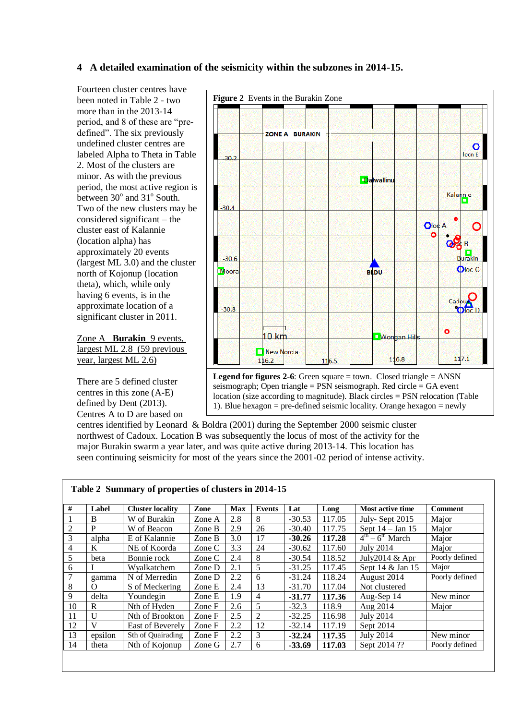# **4 A detailed examination of the seismicity within the subzones in 2014-15.**

Fourteen cluster centres have been noted in Table 2 - two more than in the 2013-14 period, and 8 of these are "predefined". The six previously undefined cluster centres are labeled Alpha to Theta in Table 2. Most of the clusters are minor. As with the previous period, the most active region is between 30° and 31° South. Two of the new clusters may be considered significant – the cluster east of Kalannie (location alpha) has approximately 20 events (largest ML 3.0) and the cluster north of Kojonup (location theta), which, while only having 6 events, is in the approximate location of a significant cluster in 2011.

Zone A **Burakin** 9 events, largest ML 2.8 (59 previous year, largest ML 2.6)

There are 5 defined cluster centres in this zone (A-E) defined by Dent (2013). Centres A to D are based on



seismograph; Open triangle =  $PSN$  seismograph. Red circle =  $GA$  event location (size according to magnitude). Black circles = PSN relocation (Table 1). Blue hexagon = pre-defined seismic locality. Orange hexagon = newly defined a series of the series of the series of the series of the series of the series of the series of the se

centres identified by Leonard & Boldra (2001) during the September 2000 seismic cluster northwest of Cadoux. Location B was subsequently the locus of most of the activity for the major Burakin swarm a year later, and was quite active during 2013-14. This location has seen continuing seismicity for most of the years since the 2001-02 period of intense activity.

|                |              | Table 2 Summary of properties of clusters in 2014-15 |          |            |                |          |        |                         |                |
|----------------|--------------|------------------------------------------------------|----------|------------|----------------|----------|--------|-------------------------|----------------|
| #              | Label        | <b>Cluster locality</b>                              | Zone     | <b>Max</b> | <b>Events</b>  | Lat      | Long   | <b>Most active time</b> | <b>Comment</b> |
|                | B            | W of Burakin                                         | Zone A   | 2.8        | 8              | $-30.53$ | 117.05 | July-Sept 2015          | Major          |
| $\overline{2}$ | P            | W of Beacon                                          | Zone B   | 2.9        | 26             | $-30.40$ | 117.75 | Sept $14 - Jan 15$      | Major          |
| 3              | alpha        | E of Kalannie                                        | Zone B   | 3.0        | 17             | $-30.26$ | 117.28 | $4th - 6th$ March       | Major          |
| 4              | K            | NE of Koorda                                         | Zone C   | 3.3        | 24             | $-30.62$ | 117.60 | July 2014               | Major          |
| 5              | beta         | Bonnie rock                                          | Zone C   | 2.4        | 8              | $-30.54$ | 118.52 | July2014 $&$ Apr        | Poorly defined |
| 6              |              | Wyalkatchem                                          | Zone D   | 2.1        | 5              | $-31.25$ | 117.45 | Sept 14 & Jan 15        | Major          |
| $\overline{7}$ | gamma        | N of Merredin                                        | Zone D   | 2.2        | 6              | $-31.24$ | 118.24 | August 2014             | Poorly defined |
| 8              | $\Omega$     | S of Meckering                                       | Zone E   | 2.4        | 13             | $-31.70$ | 117.04 | Not clustered           |                |
| 9              | delta        | Youndegin                                            | Zone E   | 1.9        | 4              | $-31.77$ | 117.36 | Aug-Sep 14              | New minor      |
| 10             | R            | Nth of Hyden                                         | Zone F   | 2.6        | 5              | $-32.3$  | 118.9  | Aug 2014                | Major          |
| 11             | $\mathbf{U}$ | Nth of Brookton                                      | Zone F   | 2.5        | $\overline{2}$ | $-32.25$ | 116.98 | <b>July 2014</b>        |                |
| 12             | V            | East of Beverely                                     | Zone F   | 2.2        | 12             | $-32.14$ | 117.19 | Sept 2014               |                |
| 13             | epsilon      | Sth of Quairading                                    | Zone F   | 2.2        | 3              | $-32.24$ | 117.35 | <b>July 2014</b>        | New minor      |
| 14             | theta        | Nth of Kojonup                                       | Zone $G$ | 2.7        | 6              | $-33.69$ | 117.03 | Sept 2014 ??            | Poorly defined |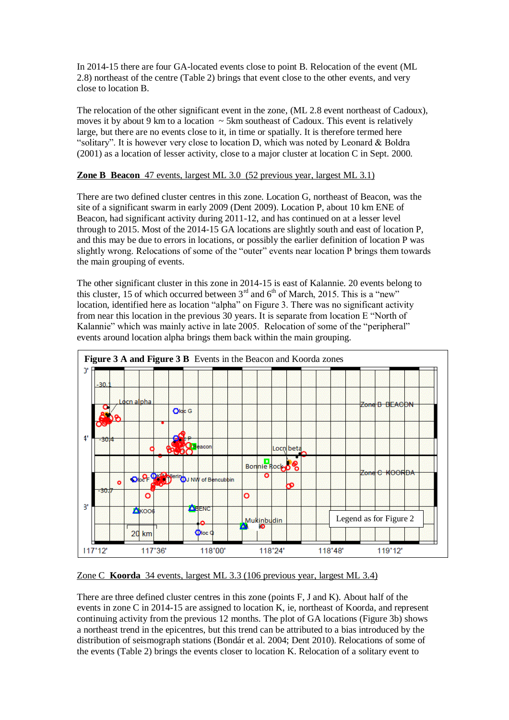In 2014-15 there are four GA-located events close to point B. Relocation of the event (ML 2.8) northeast of the centre (Table 2) brings that event close to the other events, and very close to location B.

The relocation of the other significant event in the zone, (ML 2.8 event northeast of Cadoux), moves it by about 9 km to a location  $\sim$  5 km southeast of Cadoux. This event is relatively large, but there are no events close to it, in time or spatially. It is therefore termed here "solitary". It is however very close to location D, which was noted by Leonard & Boldra (2001) as a location of lesser activity, close to a major cluster at location C in Sept. 2000.

## **Zone B Beacon** 47 events, largest ML 3.0 (52 previous year, largest ML 3.1)

There are two defined cluster centres in this zone. Location G, northeast of Beacon, was the site of a significant swarm in early 2009 (Dent 2009). Location P, about 10 km ENE of Beacon, had significant activity during 2011-12, and has continued on at a lesser level through to 2015. Most of the 2014-15 GA locations are slightly south and east of location P, and this may be due to errors in locations, or possibly the earlier definition of location P was slightly wrong. Relocations of some of the "outer" events near location P brings them towards the main grouping of events.

The other significant cluster in this zone in 2014-15 is east of Kalannie. 20 events belong to this cluster, 15 of which occurred between  $3<sup>rd</sup>$  and  $6<sup>th</sup>$  of March, 2015. This is a "new" location, identified here as location "alpha" on Figure 3. There was no significant activity from near this location in the previous 30 years. It is separate from location E "North of Kalannie" which was mainly active in late 2005. Relocation of some of the "peripheral" events around location alpha brings them back within the main grouping.



## Zone C **Koorda** 34 events, largest ML 3.3 (106 previous year, largest ML 3.4)

There are three defined cluster centres in this zone (points F, J and K). About half of the events in zone C in 2014-15 are assigned to location K, ie, northeast of Koorda, and represent continuing activity from the previous 12 months. The plot of GA locations (Figure 3b) shows a northeast trend in the epicentres, but this trend can be attributed to a bias introduced by the distribution of seismograph stations (Bondár et al. 2004; Dent 2010). Relocations of some of the events (Table 2) brings the events closer to location K. Relocation of a solitary event to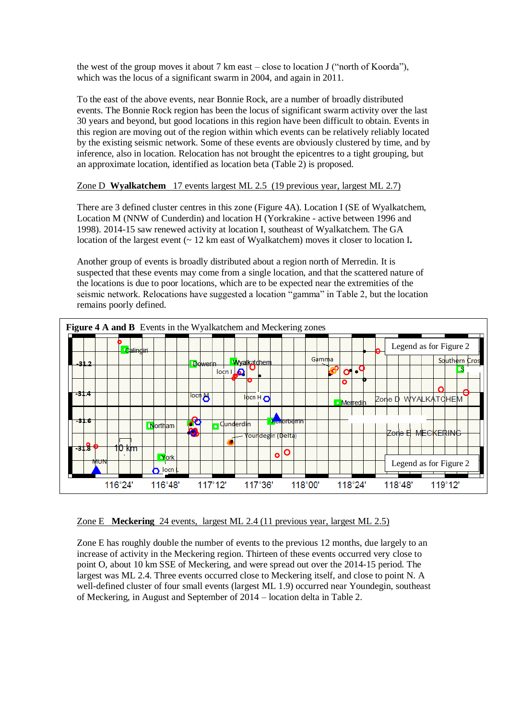the west of the group moves it about 7 km east – close to location J ("north of Koorda"), which was the locus of a significant swarm in 2004, and again in 2011.

To the east of the above events, near Bonnie Rock, are a number of broadly distributed events. The Bonnie Rock region has been the locus of significant swarm activity over the last 30 years and beyond, but good locations in this region have been difficult to obtain. Events in this region are moving out of the region within which events can be relatively reliably located by the existing seismic network. Some of these events are obviously clustered by time, and by inference, also in location. Relocation has not brought the epicentres to a tight grouping, but an approximate location, identified as location beta (Table 2) is proposed.

#### Zone D **Wyalkatchem** 17 events largest ML 2.5 (19 previous year, largest ML 2.7)

There are 3 defined cluster centres in this zone (Figure 4A). Location I (SE of Wyalkatchem, Location M (NNW of Cunderdin) and location H (Yorkrakine - active between 1996 and 1998). 2014-15 saw renewed activity at location I, southeast of Wyalkatchem. The GA location of the largest event (~ 12 km east of Wyalkatchem) moves it closer to location I**.**

Another group of events is broadly distributed about a region north of Merredin. It is suspected that these events may come from a single location, and that the scattered nature of the locations is due to poor locations, which are to be expected near the extremities of the seismic network. Relocations have suggested a location "gamma" in Table 2, but the location remains poorly defined.



Zone E **Meckering** 24 events, largest ML 2.4 (11 previous year, largest ML 2.5)

Zone E has roughly double the number of events to the previous 12 months, due largely to an increase of activity in the Meckering region. Thirteen of these events occurred very close to point O, about 10 km SSE of Meckering, and were spread out over the 2014-15 period. The largest was ML 2.4. Three events occurred close to Meckering itself, and close to point N. A well-defined cluster of four small events (largest ML 1.9) occurred near Youndegin, southeast of Meckering, in August and September of 2014 – location delta in Table 2.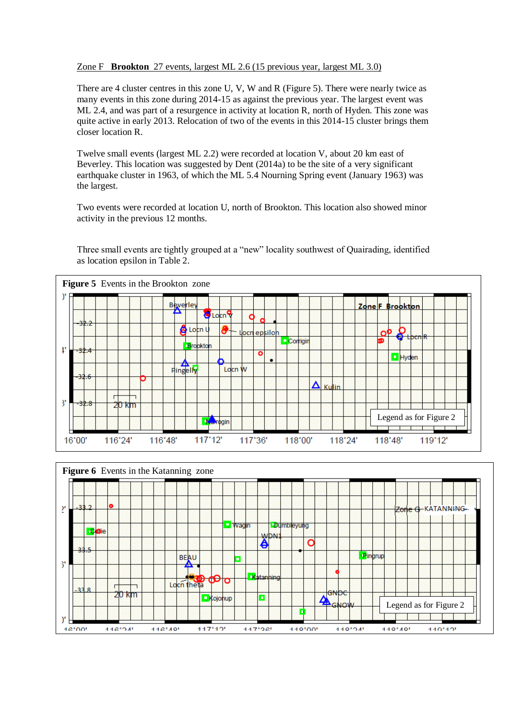#### Zone F **Brookton** 27 events, largest ML 2.6 (15 previous year, largest ML 3.0)

There are 4 cluster centres in this zone U, V, W and R (Figure 5). There were nearly twice as many events in this zone during 2014-15 as against the previous year. The largest event was ML 2.4, and was part of a resurgence in activity at location R, north of Hyden. This zone was quite active in early 2013. Relocation of two of the events in this 2014-15 cluster brings them closer location R.

Twelve small events (largest ML 2.2) were recorded at location V, about 20 km east of Beverley. This location was suggested by Dent (2014a) to be the site of a very significant earthquake cluster in 1963, of which the ML 5.4 Nourning Spring event (January 1963) was the largest.

Two events were recorded at location U, north of Brookton. This location also showed minor activity in the previous 12 months.

Three small events are tightly grouped at a "new" locality southwest of Quairading, identified as location epsilon in Table 2.



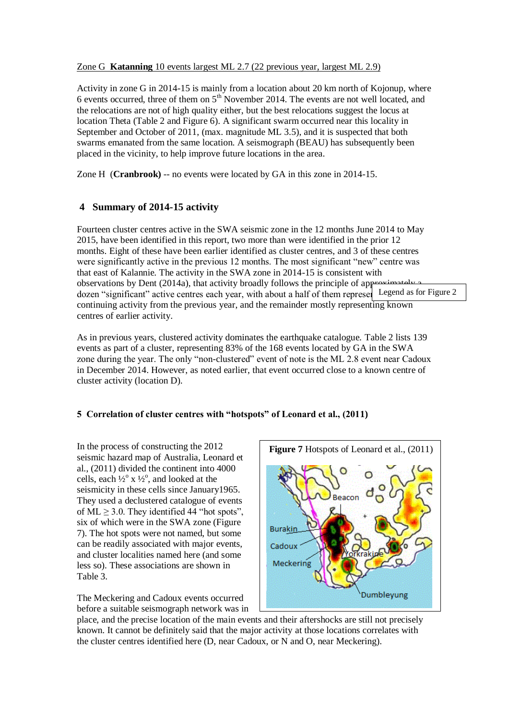#### Zone G **Katanning** 10 events largest ML 2.7 (22 previous year, largest ML 2.9)

Activity in zone G in 2014-15 is mainly from a location about 20 km north of Kojonup, where 6 events occurred, three of them on  $5<sup>th</sup>$  November 2014. The events are not well located, and the relocations are not of high quality either, but the best relocations suggest the locus at location Theta (Table 2 and Figure 6). A significant swarm occurred near this locality in September and October of 2011, (max. magnitude ML 3.5), and it is suspected that both swarms emanated from the same location. A seismograph (BEAU) has subsequently been placed in the vicinity, to help improve future locations in the area.

Zone H (**Cranbrook)** -- no events were located by GA in this zone in 2014-15.

# **4 Summary of 2014-15 activity**

Fourteen cluster centres active in the SWA seismic zone in the 12 months June 2014 to May 2015, have been identified in this report, two more than were identified in the prior 12 months. Eight of these have been earlier identified as cluster centres, and 3 of these centres were significantly active in the previous 12 months. The most significant "new" centre was that east of Kalannie. The activity in the SWA zone in 2014-15 is consistent with observations by Dent (2014a), that activity broadly follows the principle of approximately approximately as  $\mu$ dozen "significant" active centres each year, with about a half of them represel Legend as for Figure 2 continuing activity from the previous year, and the remainder mostly representing known centres of earlier activity.

As in previous years, clustered activity dominates the earthquake catalogue. Table 2 lists 139 events as part of a cluster, representing 83% of the 168 events located by GA in the SWA zone during the year. The only "non-clustered" event of note is the ML 2.8 event near Cadoux in December 2014. However, as noted earlier, that event occurred close to a known centre of cluster activity (location D).

## **5 Correlation of cluster centres with "hotspots" of Leonard et al., (2011)**

In the process of constructing the 2012 seismic hazard map of Australia, Leonard et al., (2011) divided the continent into 4000 cells, each  $\frac{1}{2}$ ° x  $\frac{1}{2}$ °, and looked at the seismicity in these cells since January1965. They used a declustered catalogue of events of  $ML \ge 3.0$ . They identified 44 "hot spots", six of which were in the SWA zone (Figure 7). The hot spots were not named, but some can be readily associated with major events, and cluster localities named here (and some less so). These associations are shown in Table 3.

The Meckering and Cadoux events occurred before a suitable seismograph network was in



place, and the precise location of the main events and their aftershocks are still not precisely known. It cannot be definitely said that the major activity at those locations correlates with the cluster centres identified here (D, near Cadoux, or N and O, near Meckering).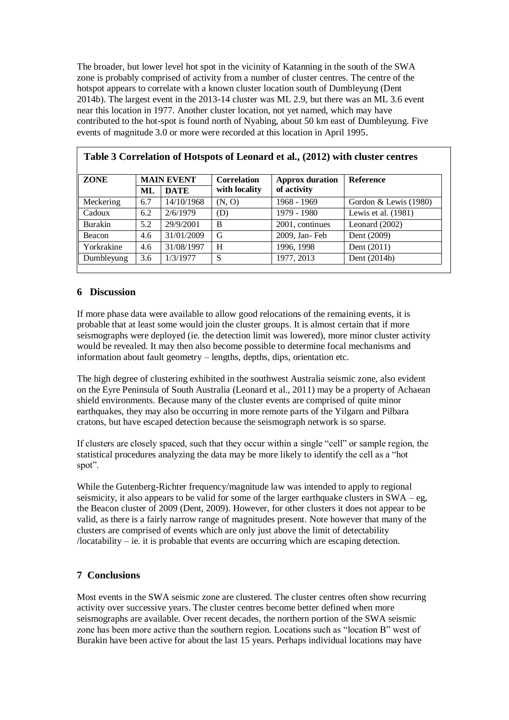The broader, but lower level hot spot in the vicinity of Katanning in the south of the SWA zone is probably comprised of activity from a number of cluster centres. The centre of the hotspot appears to correlate with a known cluster location south of Dumbleyung (Dent 2014b). The largest event in the 2013-14 cluster was ML 2.9, but there was an ML 3.6 event near this location in 1977. Another cluster location, not yet named, which may have contributed to the hot-spot is found north of Nyabing, about 50 km east of Dumbleyung. Five events of magnitude 3.0 or more were recorded at this location in April 1995.

| <b>ZONE</b> | <b>MAIN EVENT</b> |             | <b>Correlation</b> | <b>Approx duration</b> | <b>Reference</b>        |  |  |
|-------------|-------------------|-------------|--------------------|------------------------|-------------------------|--|--|
|             | ML                | <b>DATE</b> | with locality      | of activity            |                         |  |  |
| Meckering   | 6.7               | 14/10/1968  | (N, 0)             | 1968 - 1969            | Gordon & Lewis $(1980)$ |  |  |
| Cadoux      | 6.2               | 2/6/1979    | (D)                | 1979 - 1980            | Lewis et al. (1981)     |  |  |
| Burakin     | 5.2               | 29/9/2001   | B                  | 2001, continues        | Leonard $(2002)$        |  |  |
| Beacon      | 4.6               | 31/01/2009  | G                  | 2009, Jan-Feb          | Dent (2009)             |  |  |
| Yorkrakine  | 4.6               | 31/08/1997  | H                  | 1996, 1998             | Dent (2011)             |  |  |
| Dumbleyung  | 3.6               | 1/3/1977    | S                  | 1977, 2013             | Dent $(2014b)$          |  |  |

**Table 3 Correlation of Hotspots of Leonard et al., (2012) with cluster centres**

## **6 Discussion**

If more phase data were available to allow good relocations of the remaining events, it is probable that at least some would join the cluster groups. It is almost certain that if more seismographs were deployed (ie. the detection limit was lowered), more minor cluster activity would be revealed. It may then also become possible to determine focal mechanisms and information about fault geometry – lengths, depths, dips, orientation etc.

The high degree of clustering exhibited in the southwest Australia seismic zone, also evident on the Eyre Peninsula of South Australia (Leonard et al., 2011) may be a property of Achaean shield environments. Because many of the cluster events are comprised of quite minor earthquakes, they may also be occurring in more remote parts of the Yilgarn and Pilbara cratons, but have escaped detection because the seismograph network is so sparse.

If clusters are closely spaced, such that they occur within a single "cell" or sample region, the statistical procedures analyzing the data may be more likely to identify the cell as a "hot spot".

While the Gutenberg-Richter frequency/magnitude law was intended to apply to regional seismicity, it also appears to be valid for some of the larger earthquake clusters in SWA – eg, the Beacon cluster of 2009 (Dent, 2009). However, for other clusters it does not appear to be valid, as there is a fairly narrow range of magnitudes present. Note however that many of the clusters are comprised of events which are only just above the limit of detectability /locatability – ie. it is probable that events are occurring which are escaping detection.

# **7 Conclusions**

Most events in the SWA seismic zone are clustered. The cluster centres often show recurring activity over successive years. The cluster centres become better defined when more seismographs are available. Over recent decades, the northern portion of the SWA seismic zone has been more active than the southern region. Locations such as "location B" west of Burakin have been active for about the last 15 years. Perhaps individual locations may have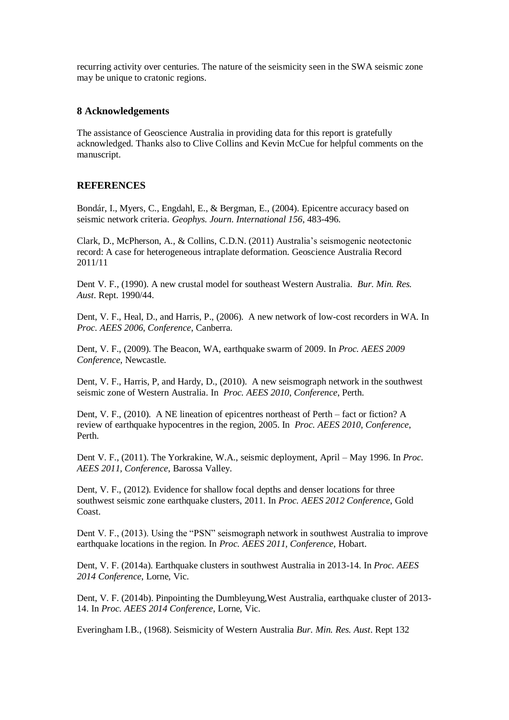recurring activity over centuries. The nature of the seismicity seen in the SWA seismic zone may be unique to cratonic regions.

#### **8 Acknowledgements**

The assistance of Geoscience Australia in providing data for this report is gratefully acknowledged. Thanks also to Clive Collins and Kevin McCue for helpful comments on the manuscript.

## **REFERENCES**

Bondár, I., Myers, C., Engdahl, E., & Bergman, E., (2004). Epicentre accuracy based on seismic network criteria. *Geophys. Journ. International 156*, 483-496.

Clark, D., McPherson, A., & Collins, C.D.N. (2011) Australia's seismogenic neotectonic record: A case for heterogeneous intraplate deformation. Geoscience Australia Record 2011/11

Dent V. F., (1990). A new crustal model for southeast Western Australia. *Bur. Min. Res. Aust*. Rept. 1990/44.

Dent, V. F., Heal, D., and Harris, P., (2006). A new network of low-cost recorders in WA. In *Proc. AEES 2006*, *Conference*, Canberra.

Dent, V. F., (2009). The Beacon, WA, earthquake swarm of 2009. In *Proc. AEES 2009 Conference*, Newcastle.

Dent, V. F., Harris, P, and Hardy, D., (2010). A new seismograph network in the southwest seismic zone of Western Australia. In *Proc. AEES 2010*, *Conference*, Perth.

Dent, V. F., (2010). A NE lineation of epicentres northeast of Perth – fact or fiction? A review of earthquake hypocentres in the region, 2005. In *Proc. AEES 2010*, *Conference*, Perth.

Dent V. F., (2011). The Yorkrakine, W.A., seismic deployment, April – May 1996. In *Proc. AEES 2011, Conference*, Barossa Valley.

Dent, V. F., (2012). Evidence for shallow focal depths and denser locations for three southwest seismic zone earthquake clusters, 2011. In *Proc. AEES 2012 Conference*, Gold Coast.

Dent V. F., (2013). Using the "PSN" seismograph network in southwest Australia to improve earthquake locations in the region. In *Proc. AEES 2011, Conference*, Hobart.

Dent, V. F. (2014a). Earthquake clusters in southwest Australia in 2013-14. In *Proc. AEES 2014 Conference*, Lorne, Vic.

Dent, V. F. (2014b). Pinpointing the Dumbleyung,West Australia, earthquake cluster of 2013- 14. In *Proc. AEES 2014 Conference*, Lorne, Vic.

Everingham I.B., (1968). Seismicity of Western Australia *Bur. Min. Res. Aust*. Rept 132